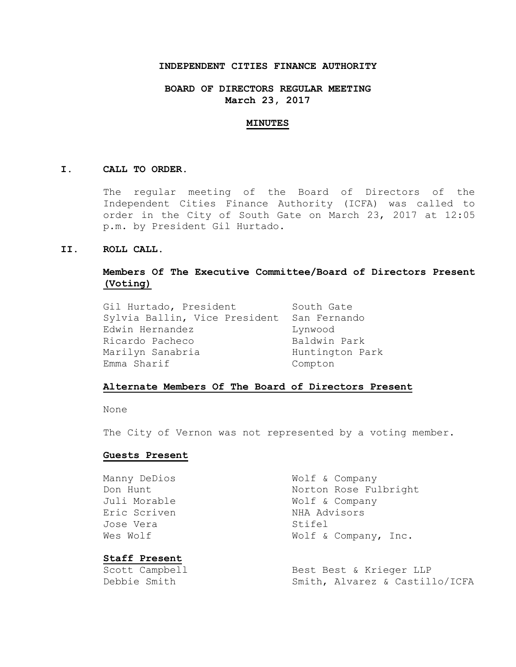## **INDEPENDENT CITIES FINANCE AUTHORITY**

# **BOARD OF DIRECTORS REGULAR MEETING March 23, 2017**

#### **MINUTES**

#### **I. CALL TO ORDER.**

The regular meeting of the Board of Directors of the Independent Cities Finance Authority (ICFA) was called to order in the City of South Gate on March 23, 2017 at 12:05 p.m. by President Gil Hurtado.

### **II. ROLL CALL.**

# **Members Of The Executive Committee/Board of Directors Present (Voting)**

Gil Hurtado, President South Gate Sylvia Ballin, Vice President San Fernando Edwin Hernandez **Lynwood** Ricardo Pacheco Baldwin Park Marilyn Sanabria **Huntington Park** Emma Sharif Compton

## **Alternate Members Of The Board of Directors Present**

None

The City of Vernon was not represented by a voting member.

#### **Guests Present**

Eric Scriven NHA Advisors Jose Vera Stifel

# **Staff Present**

Manny DeDios Wolf & Company Don Hunt Norton Rose Fulbright Juli Morable **Wolf & Company** Wes Wolf  $W$  Wolf & Company, Inc.

Scott Campbell Best Best & Krieger LLP Debbie Smith Smith, Alvarez & Castillo/ICFA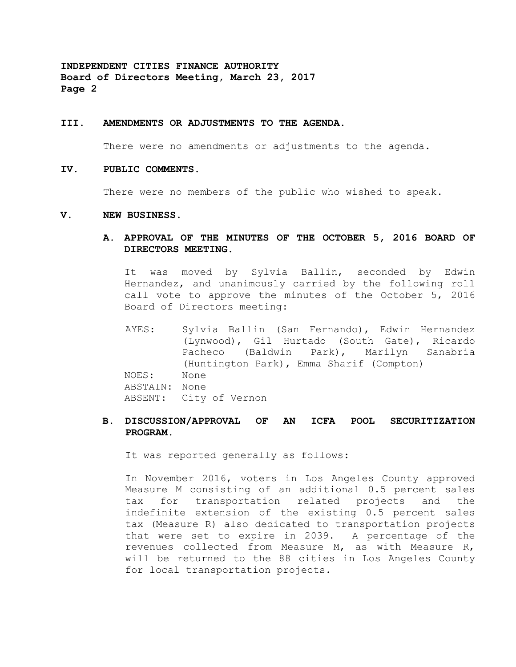#### **III. AMENDMENTS OR ADJUSTMENTS TO THE AGENDA.**

There were no amendments or adjustments to the agenda.

#### **IV. PUBLIC COMMENTS.**

There were no members of the public who wished to speak.

#### **V. NEW BUSINESS.**

**A. APPROVAL OF THE MINUTES OF THE OCTOBER 5, 2016 BOARD OF DIRECTORS MEETING.**

It was moved by Sylvia Ballin, seconded by Edwin Hernandez, and unanimously carried by the following roll call vote to approve the minutes of the October 5, 2016 Board of Directors meeting:

AYES: Sylvia Ballin (San Fernando), Edwin Hernandez (Lynwood), Gil Hurtado (South Gate), Ricardo Pacheco (Baldwin Park), Marilyn Sanabria (Huntington Park), Emma Sharif (Compton) NOES: None ABSTAIN: None ABSENT: City of Vernon

# **B. DISCUSSION/APPROVAL OF AN ICFA POOL SECURITIZATION PROGRAM.**

It was reported generally as follows:

In November 2016, voters in Los Angeles County approved Measure M consisting of an additional 0.5 percent sales tax for transportation related projects and the indefinite extension of the existing 0.5 percent sales tax (Measure R) also dedicated to transportation projects that were set to expire in 2039. A percentage of the revenues collected from Measure M, as with Measure R, will be returned to the 88 cities in Los Angeles County for local transportation projects.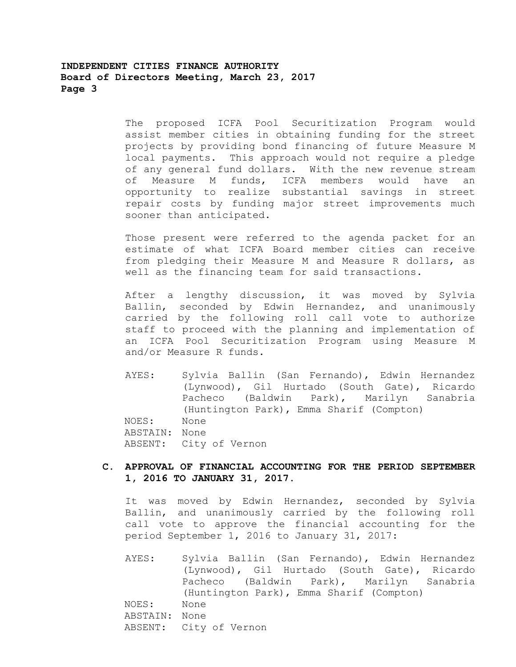The proposed ICFA Pool Securitization Program would assist member cities in obtaining funding for the street projects by providing bond financing of future Measure M local payments. This approach would not require a pledge of any general fund dollars. With the new revenue stream of Measure M funds, ICFA members would have an opportunity to realize substantial savings in street repair costs by funding major street improvements much sooner than anticipated.

Those present were referred to the agenda packet for an estimate of what ICFA Board member cities can receive from pledging their Measure M and Measure R dollars, as well as the financing team for said transactions.

After a lengthy discussion, it was moved by Sylvia Ballin, seconded by Edwin Hernandez, and unanimously carried by the following roll call vote to authorize staff to proceed with the planning and implementation of an ICFA Pool Securitization Program using Measure M and/or Measure R funds.

AYES: Sylvia Ballin (San Fernando), Edwin Hernandez (Lynwood), Gil Hurtado (South Gate), Ricardo Pacheco (Baldwin Park), Marilyn Sanabria (Huntington Park), Emma Sharif (Compton) NOES: None ABSTAIN: None ABSENT: City of Vernon

# **C. APPROVAL OF FINANCIAL ACCOUNTING FOR THE PERIOD SEPTEMBER 1, 2016 TO JANUARY 31, 2017.**

It was moved by Edwin Hernandez, seconded by Sylvia Ballin, and unanimously carried by the following roll call vote to approve the financial accounting for the period September 1, 2016 to January 31, 2017:

AYES: Sylvia Ballin (San Fernando), Edwin Hernandez (Lynwood), Gil Hurtado (South Gate), Ricardo Pacheco (Baldwin Park), Marilyn Sanabria (Huntington Park), Emma Sharif (Compton) NOES: None ABSTAIN: None ABSENT: City of Vernon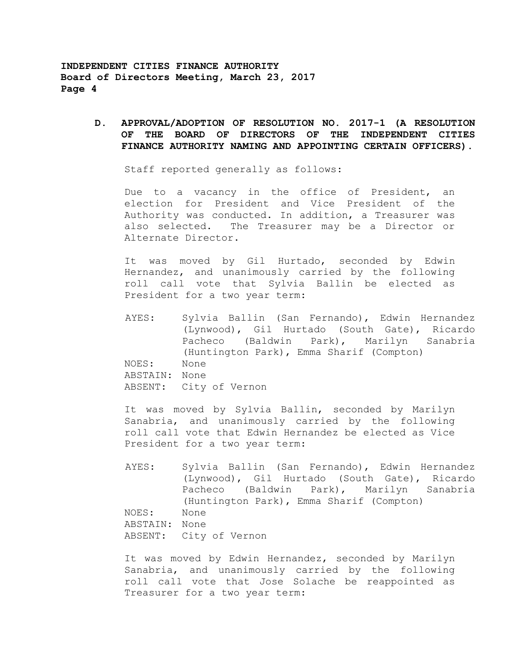> **D. APPROVAL/ADOPTION OF RESOLUTION NO. 2017-1 (A RESOLUTION OF THE BOARD OF DIRECTORS OF THE INDEPENDENT CITIES FINANCE AUTHORITY NAMING AND APPOINTING CERTAIN OFFICERS).**

Staff reported generally as follows:

Due to a vacancy in the office of President, an election for President and Vice President of the Authority was conducted. In addition, a Treasurer was also selected. The Treasurer may be a Director or Alternate Director.

It was moved by Gil Hurtado, seconded by Edwin Hernandez, and unanimously carried by the following roll call vote that Sylvia Ballin be elected as President for a two year term:

AYES: Sylvia Ballin (San Fernando), Edwin Hernandez (Lynwood), Gil Hurtado (South Gate), Ricardo Pacheco (Baldwin Park), Marilyn Sanabria (Huntington Park), Emma Sharif (Compton) NOES: None ABSTAIN: None ABSENT: City of Vernon

It was moved by Sylvia Ballin, seconded by Marilyn Sanabria, and unanimously carried by the following roll call vote that Edwin Hernandez be elected as Vice President for a two year term:

AYES: Sylvia Ballin (San Fernando), Edwin Hernandez (Lynwood), Gil Hurtado (South Gate), Ricardo Pacheco (Baldwin Park), Marilyn Sanabria (Huntington Park), Emma Sharif (Compton) NOES: None ABSTAIN: None ABSENT: City of Vernon

It was moved by Edwin Hernandez, seconded by Marilyn Sanabria, and unanimously carried by the following roll call vote that Jose Solache be reappointed as Treasurer for a two year term: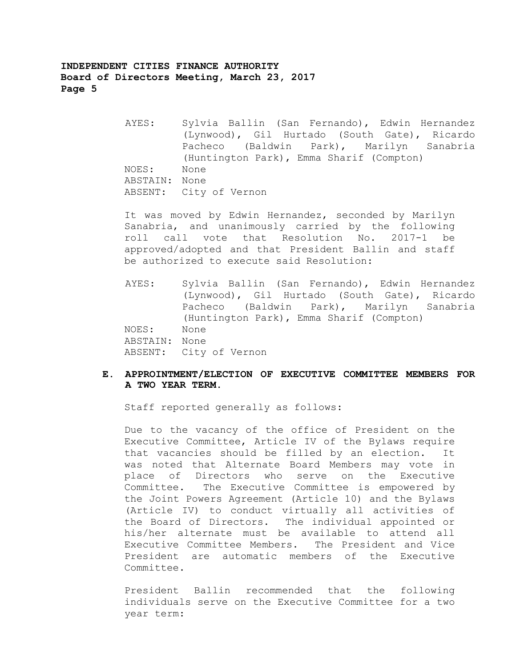AYES: Sylvia Ballin (San Fernando), Edwin Hernandez (Lynwood), Gil Hurtado (South Gate), Ricardo Pacheco (Baldwin Park), Marilyn Sanabria (Huntington Park), Emma Sharif (Compton) NOES: None ABSTAIN: None ABSENT: City of Vernon

It was moved by Edwin Hernandez, seconded by Marilyn Sanabria, and unanimously carried by the following roll call vote that Resolution No. 2017-1 be approved/adopted and that President Ballin and staff be authorized to execute said Resolution:

AYES: Sylvia Ballin (San Fernando), Edwin Hernandez (Lynwood), Gil Hurtado (South Gate), Ricardo Pacheco (Baldwin Park), Marilyn Sanabria (Huntington Park), Emma Sharif (Compton) NOES: None ABSTAIN: None ABSENT: City of Vernon

# **E. APPROINTMENT/ELECTION OF EXECUTIVE COMMITTEE MEMBERS FOR A TWO YEAR TERM.**

Staff reported generally as follows:

Due to the vacancy of the office of President on the Executive Committee, Article IV of the Bylaws require that vacancies should be filled by an election. It was noted that Alternate Board Members may vote in place of Directors who serve on the Executive Committee. The Executive Committee is empowered by the Joint Powers Agreement (Article 10) and the Bylaws (Article IV) to conduct virtually all activities of the Board of Directors. The individual appointed or his/her alternate must be available to attend all Executive Committee Members. The President and Vice President are automatic members of the Executive Committee.

President Ballin recommended that the following individuals serve on the Executive Committee for a two year term: